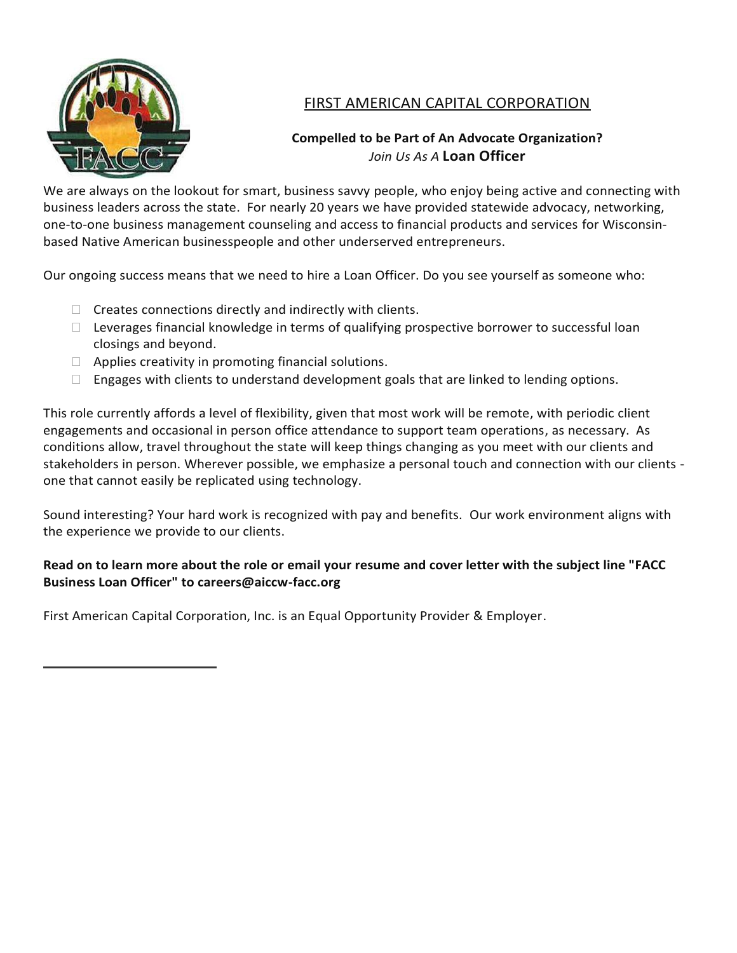

# FIRST AMERICAN CAPITAL CORPORATION

# **Compelled to be Part of An Advocate Organization?** *Join Us As A* **Loan Officer**

We are always on the lookout for smart, business savvy people, who enjoy being active and connecting with business leaders across the state. For nearly 20 years we have provided statewide advocacy, networking, one-to-one business management counseling and access to financial products and services for Wisconsinbased Native American businesspeople and other underserved entrepreneurs.

Our ongoing success means that we need to hire a Loan Officer. Do you see yourself as someone who:

- $\Box$  Creates connections directly and indirectly with clients.
- $\Box$  Leverages financial knowledge in terms of qualifying prospective borrower to successful loan closings and beyond.
- $\Box$  Applies creativity in promoting financial solutions.
- $\Box$  Engages with clients to understand development goals that are linked to lending options.

This role currently affords a level of flexibility, given that most work will be remote, with periodic client engagements and occasional in person office attendance to support team operations, as necessary. As conditions allow, travel throughout the state will keep things changing as you meet with our clients and stakeholders in person. Wherever possible, we emphasize a personal touch and connection with our clients one that cannot easily be replicated using technology.

Sound interesting? Your hard work is recognized with pay and benefits. Our work environment aligns with the experience we provide to our clients.

# **Read on to learn more about the role or email your resume and cover letter with the subject line "FACC Business Loan Officer" to [careers@aiccw-facc.org](about:blank)**

First American Capital Corporation, Inc. is an Equal Opportunity Provider & Employer.